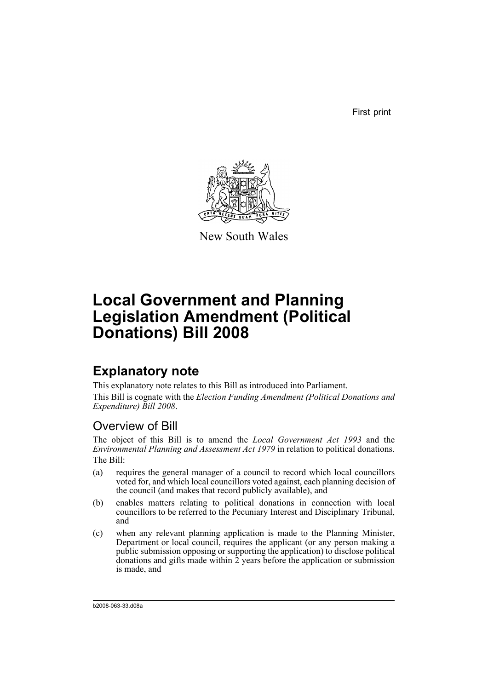First print



New South Wales

# **Local Government and Planning Legislation Amendment (Political Donations) Bill 2008**

## **Explanatory note**

This explanatory note relates to this Bill as introduced into Parliament. This Bill is cognate with the *Election Funding Amendment (Political Donations and Expenditure) Bill 2008*.

## Overview of Bill

The object of this Bill is to amend the *Local Government Act 1993* and the *Environmental Planning and Assessment Act 1979* in relation to political donations. The Bill:

- (a) requires the general manager of a council to record which local councillors voted for, and which local councillors voted against, each planning decision of the council (and makes that record publicly available), and
- (b) enables matters relating to political donations in connection with local councillors to be referred to the Pecuniary Interest and Disciplinary Tribunal, and
- (c) when any relevant planning application is made to the Planning Minister, Department or local council, requires the applicant (or any person making a public submission opposing or supporting the application) to disclose political donations and gifts made within 2 years before the application or submission is made, and

b2008-063-33.d08a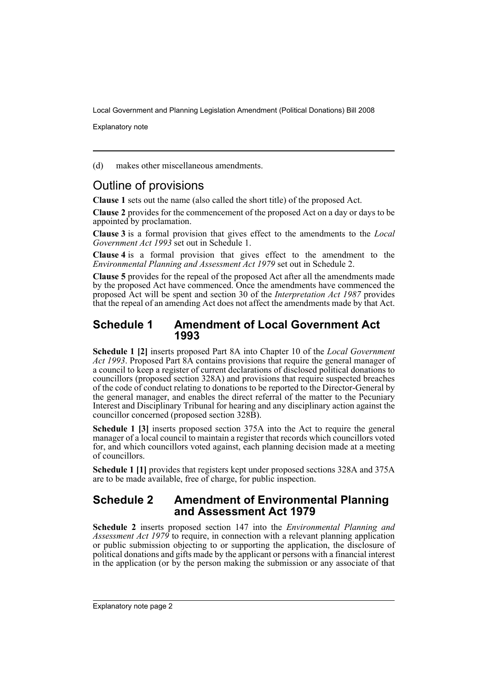Explanatory note

(d) makes other miscellaneous amendments.

## Outline of provisions

**Clause 1** sets out the name (also called the short title) of the proposed Act.

**Clause 2** provides for the commencement of the proposed Act on a day or days to be appointed by proclamation.

**Clause 3** is a formal provision that gives effect to the amendments to the *Local Government Act 1993* set out in Schedule 1.

**Clause 4** is a formal provision that gives effect to the amendment to the *Environmental Planning and Assessment Act 1979* set out in Schedule 2.

**Clause 5** provides for the repeal of the proposed Act after all the amendments made by the proposed Act have commenced. Once the amendments have commenced the proposed Act will be spent and section 30 of the *Interpretation Act 1987* provides that the repeal of an amending Act does not affect the amendments made by that Act.

### **Schedule 1 Amendment of Local Government Act 1993**

**Schedule 1 [2]** inserts proposed Part 8A into Chapter 10 of the *Local Government Act 1993*. Proposed Part 8A contains provisions that require the general manager of a council to keep a register of current declarations of disclosed political donations to councillors (proposed section 328A) and provisions that require suspected breaches of the code of conduct relating to donations to be reported to the Director-General by the general manager, and enables the direct referral of the matter to the Pecuniary Interest and Disciplinary Tribunal for hearing and any disciplinary action against the councillor concerned (proposed section 328B).

**Schedule 1 [3]** inserts proposed section 375A into the Act to require the general manager of a local council to maintain a register that records which councillors voted for, and which councillors voted against, each planning decision made at a meeting of councillors.

**Schedule 1 [1]** provides that registers kept under proposed sections 328A and 375A are to be made available, free of charge, for public inspection.

### **Schedule 2 Amendment of Environmental Planning and Assessment Act 1979**

**Schedule 2** inserts proposed section 147 into the *Environmental Planning and* Assessment Act 1979 to require, in connection with a relevant planning application or public submission objecting to or supporting the application, the disclosure of political donations and gifts made by the applicant or persons with a financial interest in the application (or by the person making the submission or any associate of that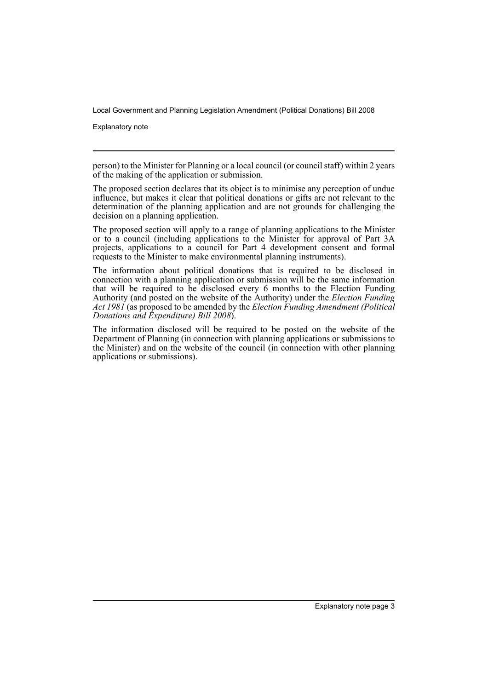Explanatory note

person) to the Minister for Planning or a local council (or council staff) within 2 years of the making of the application or submission.

The proposed section declares that its object is to minimise any perception of undue influence, but makes it clear that political donations or gifts are not relevant to the determination of the planning application and are not grounds for challenging the decision on a planning application.

The proposed section will apply to a range of planning applications to the Minister or to a council (including applications to the Minister for approval of Part 3A projects, applications to a council for Part 4 development consent and formal requests to the Minister to make environmental planning instruments).

The information about political donations that is required to be disclosed in connection with a planning application or submission will be the same information that will be required to be disclosed every 6 months to the Election Funding Authority (and posted on the website of the Authority) under the *Election Funding Act 1981* (as proposed to be amended by the *Election Funding Amendment (Political Donations and Expenditure) Bill 2008*).

The information disclosed will be required to be posted on the website of the Department of Planning (in connection with planning applications or submissions to the Minister) and on the website of the council (in connection with other planning applications or submissions).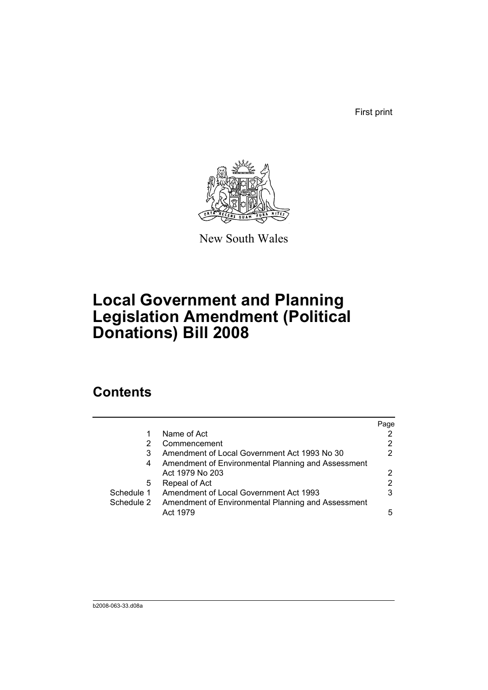First print



New South Wales

## **Local Government and Planning Legislation Amendment (Political Donations) Bill 2008**

## **Contents**

|            |                                                    | Page |
|------------|----------------------------------------------------|------|
|            | Name of Act                                        |      |
|            | Commencement                                       | 2    |
| 3          | Amendment of Local Government Act 1993 No 30       | 2    |
| 4          | Amendment of Environmental Planning and Assessment |      |
|            | Act 1979 No 203                                    | 2    |
| 5          | Repeal of Act                                      | 2    |
| Schedule 1 | Amendment of Local Government Act 1993             | 3    |
| Schedule 2 | Amendment of Environmental Planning and Assessment |      |
|            | Act 1979                                           | 5    |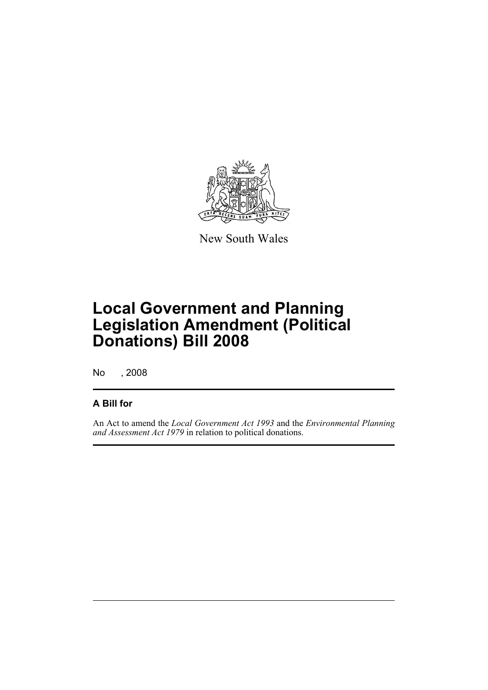

New South Wales

## **Local Government and Planning Legislation Amendment (Political Donations) Bill 2008**

No , 2008

### **A Bill for**

An Act to amend the *Local Government Act 1993* and the *Environmental Planning and Assessment Act 1979* in relation to political donations.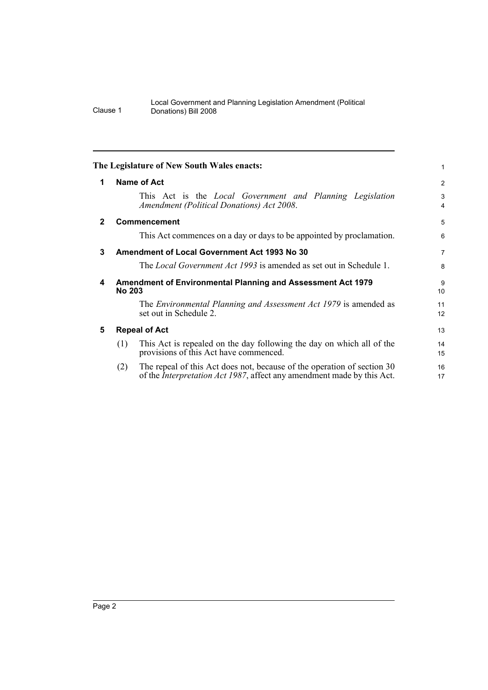<span id="page-7-4"></span><span id="page-7-3"></span><span id="page-7-2"></span><span id="page-7-1"></span><span id="page-7-0"></span>

|              | The Legislature of New South Wales enacts:                                                                                                                       | 1        |  |
|--------------|------------------------------------------------------------------------------------------------------------------------------------------------------------------|----------|--|
| 1            | Name of Act                                                                                                                                                      | 2        |  |
|              | This Act is the <i>Local Government and Planning Legislation</i><br>Amendment (Political Donations) Act 2008.                                                    | 3<br>4   |  |
| $\mathbf{2}$ | <b>Commencement</b>                                                                                                                                              | 5        |  |
|              | This Act commences on a day or days to be appointed by proclamation.                                                                                             | 6        |  |
| 3            | <b>Amendment of Local Government Act 1993 No 30</b>                                                                                                              | 7        |  |
|              | The <i>Local Government Act 1993</i> is amended as set out in Schedule 1.                                                                                        | 8        |  |
| 4            | <b>Amendment of Environmental Planning and Assessment Act 1979</b><br><b>No 203</b>                                                                              |          |  |
|              | The <i>Environmental Planning and Assessment Act 1979</i> is amended as<br>set out in Schedule 2.                                                                | 11<br>12 |  |
| 5            | <b>Repeal of Act</b>                                                                                                                                             |          |  |
|              | This Act is repealed on the day following the day on which all of the<br>(1)<br>provisions of this Act have commenced.                                           | 14<br>15 |  |
|              | The repeal of this Act does not, because of the operation of section 30<br>(2)<br>of the <i>Interpretation Act 1987</i> , affect any amendment made by this Act. | 16<br>17 |  |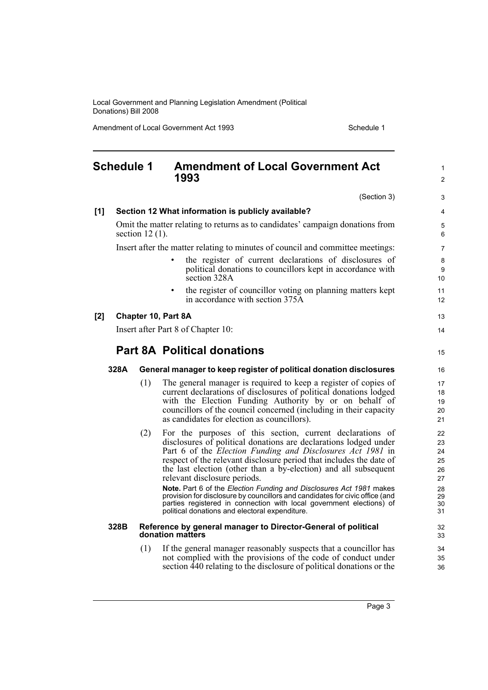Amendment of Local Government Act 1993 **Schedule 1** Schedule 1

1  $\mathfrak{p}$ 

3

5

#### <span id="page-8-0"></span>**Schedule 1 Amendment of Local Government Act 1993** (Section 3) **[1] Section 12 What information is publicly available?** Omit the matter relating to returns as to candidates' campaign donations from section 12 (1). Insert after the matter relating to minutes of council and committee meetings: • the register of current declarations of disclosures of political donations to councillors kept in accordance with section 328A • the register of councillor voting on planning matters kept in accordance with section 375A **[2] Chapter 10, Part 8A** Insert after Part 8 of Chapter 10: **Part 8A Political donations 328A General manager to keep register of political donation disclosures** (1) The general manager is required to keep a register of copies of current declarations of disclosures of political donations lodged with the Election Funding Authority by or on behalf of councillors of the council concerned (including in their capacity as candidates for election as councillors). (2) For the purposes of this section, current declarations of disclosures of political donations are declarations lodged under Part 6 of the *Election Funding and Disclosures Act 1981* in respect of the relevant disclosure period that includes the date of the last election (other than a by-election) and all subsequent relevant disclosure periods. **Note.** Part 6 of the *Election Funding and Disclosures Act 1981* makes provision for disclosure by councillors and candidates for civic office (and parties registered in connection with local government elections) of political donations and electoral expenditure. **328B Reference by general manager to Director-General of political donation matters** (1) If the general manager reasonably suspects that a councillor has not complied with the provisions of the code of conduct under 4 6 7 8 9 10 11 12 13  $14$ 15 16 17 18 19  $20$  $21$ 22 23 24 25 26 27 28 29 30 31 32 33 34 35

section 440 relating to the disclosure of political donations or the

36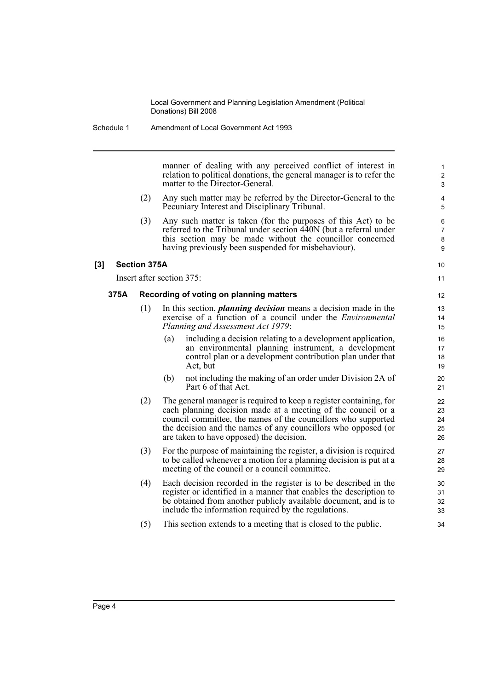manner of dealing with any perceived conflict of interest in relation to political donations, the general manager is to refer the matter to the Director-General.

10 11

- (2) Any such matter may be referred by the Director-General to the Pecuniary Interest and Disciplinary Tribunal.
- (3) Any such matter is taken (for the purposes of this Act) to be referred to the Tribunal under section 440N (but a referral under this section may be made without the councillor concerned having previously been suspended for misbehaviour).

#### **[3] Section 375A**

Insert after section 375:

#### **375A Recording of voting on planning matters**

- (1) In this section, *planning decision* means a decision made in the exercise of a function of a council under the *Environmental Planning and Assessment Act 1979*:
	- (a) including a decision relating to a development application, an environmental planning instrument, a development control plan or a development contribution plan under that Act, but
	- (b) not including the making of an order under Division 2A of Part 6 of that Act.
- (2) The general manager is required to keep a register containing, for each planning decision made at a meeting of the council or a council committee, the names of the councillors who supported the decision and the names of any councillors who opposed (or are taken to have opposed) the decision.
- (3) For the purpose of maintaining the register, a division is required to be called whenever a motion for a planning decision is put at a meeting of the council or a council committee.
- (4) Each decision recorded in the register is to be described in the register or identified in a manner that enables the description to be obtained from another publicly available document, and is to include the information required by the regulations.
- (5) This section extends to a meeting that is closed to the public.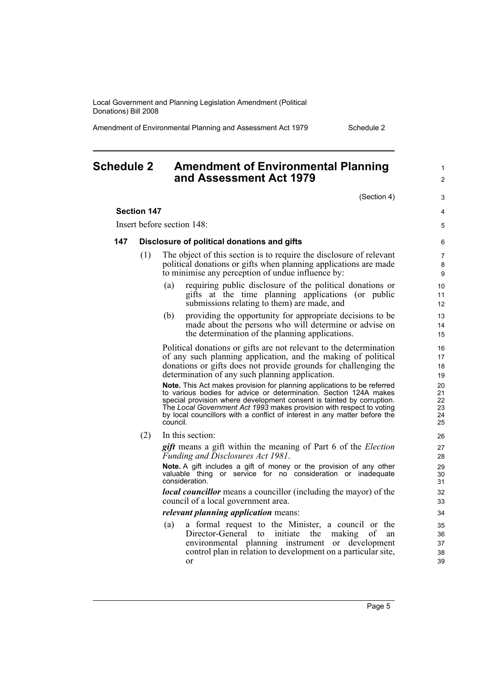Amendment of Environmental Planning and Assessment Act 1979 Schedule 2

### <span id="page-10-0"></span>**Schedule 2 Amendment of Environmental Planning and Assessment Act 1979**

(Section 4)

1  $\mathfrak{p}$ 

3 4 5

#### **Section 147**

Insert before section 148:

#### **147 Disclosure of political donations and gifts**

- (1) The object of this section is to require the disclosure of relevant political donations or gifts when planning applications are made to minimise any perception of undue influence by:
	- (a) requiring public disclosure of the political donations or gifts at the time planning applications (or public submissions relating to them) are made, and
	- (b) providing the opportunity for appropriate decisions to be made about the persons who will determine or advise on the determination of the planning applications.

Political donations or gifts are not relevant to the determination of any such planning application, and the making of political donations or gifts does not provide grounds for challenging the determination of any such planning application.

**Note.** This Act makes provision for planning applications to be referred to various bodies for advice or determination. Section 124A makes special provision where development consent is tainted by corruption. The *Local Government Act 1993* makes provision with respect to voting by local councillors with a conflict of interest in any matter before the council.

(2) In this section:

*gift* means a gift within the meaning of Part 6 of the *Election Funding and Disclosures Act 1981*.

**Note.** A gift includes a gift of money or the provision of any other valuable thing or service for no consideration or inadequate consideration.

*local councillor* means a councillor (including the mayor) of the council of a local government area.

*relevant planning application* means:

(a) a formal request to the Minister, a council or the Director-General to initiate the making of an environmental planning instrument or development control plan in relation to development on a particular site, or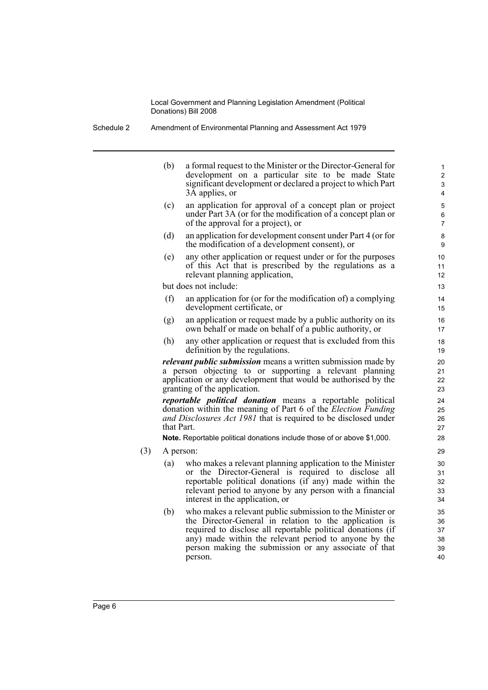Schedule 2 Amendment of Environmental Planning and Assessment Act 1979

(b) a formal request to the Minister or the Director-General for development on a particular site to be made State significant development or declared a project to which Part 3A applies, or (c) an application for approval of a concept plan or project under Part 3A (or for the modification of a concept plan or

- of the approval for a project), or (d) an application for development consent under Part 4 (or for the modification of a development consent), or
- (e) any other application or request under or for the purposes of this Act that is prescribed by the regulations as a relevant planning application,

but does not include:

- (f) an application for (or for the modification of) a complying development certificate, or
- (g) an application or request made by a public authority on its own behalf or made on behalf of a public authority, or
- (h) any other application or request that is excluded from this definition by the regulations.

*relevant public submission* means a written submission made by a person objecting to or supporting a relevant planning application or any development that would be authorised by the granting of the application.

*reportable political donation* means a reportable political donation within the meaning of Part 6 of the *Election Funding and Disclosures Act 1981* that is required to be disclosed under that Part.

**Note.** Reportable political donations include those of or above \$1,000.

- (3) A person:
	- (a) who makes a relevant planning application to the Minister or the Director-General is required to disclose all reportable political donations (if any) made within the relevant period to anyone by any person with a financial interest in the application, or
	- (b) who makes a relevant public submission to the Minister or the Director-General in relation to the application is required to disclose all reportable political donations (if any) made within the relevant period to anyone by the person making the submission or any associate of that person.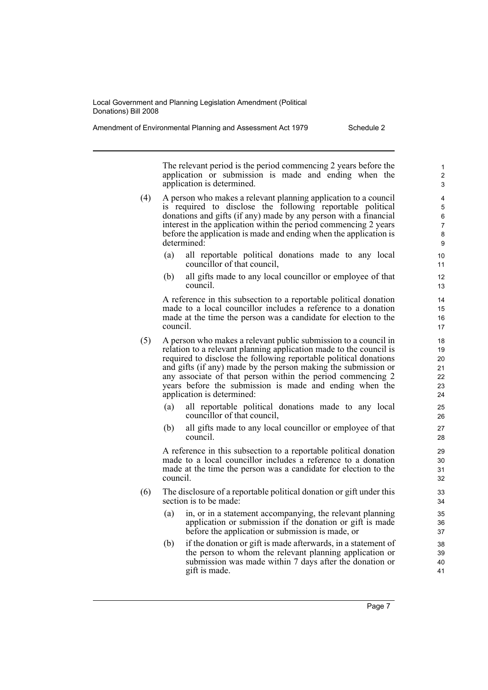Amendment of Environmental Planning and Assessment Act 1979 Schedule 2

The relevant period is the period commencing 2 years before the application or submission is made and ending when the application is determined.

- (4) A person who makes a relevant planning application to a council is required to disclose the following reportable political donations and gifts (if any) made by any person with a financial interest in the application within the period commencing 2 years before the application is made and ending when the application is determined:
	- (a) all reportable political donations made to any local councillor of that council,
	- (b) all gifts made to any local councillor or employee of that council.

A reference in this subsection to a reportable political donation made to a local councillor includes a reference to a donation made at the time the person was a candidate for election to the council.

- (5) A person who makes a relevant public submission to a council in relation to a relevant planning application made to the council is required to disclose the following reportable political donations and gifts (if any) made by the person making the submission or any associate of that person within the period commencing 2 years before the submission is made and ending when the application is determined:
	- (a) all reportable political donations made to any local councillor of that council,
	- (b) all gifts made to any local councillor or employee of that council.

A reference in this subsection to a reportable political donation made to a local councillor includes a reference to a donation made at the time the person was a candidate for election to the council.

- (6) The disclosure of a reportable political donation or gift under this section is to be made:
	- (a) in, or in a statement accompanying, the relevant planning application or submission if the donation or gift is made before the application or submission is made, or
	- (b) if the donation or gift is made afterwards, in a statement of the person to whom the relevant planning application or submission was made within 7 days after the donation or gift is made.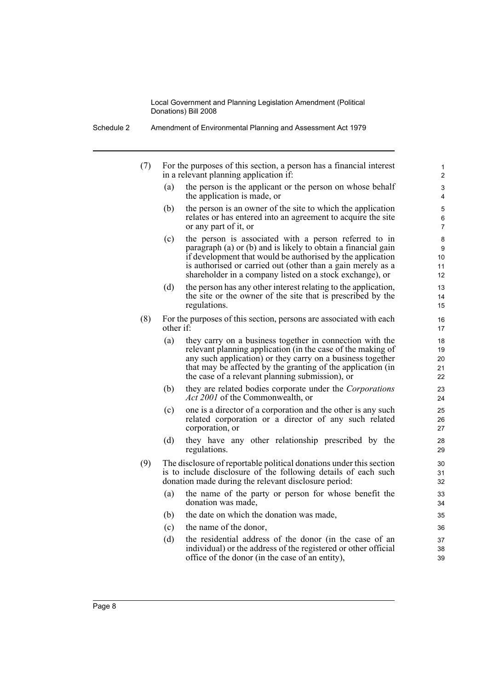Schedule 2 Amendment of Environmental Planning and Assessment Act 1979

| (7) |           | For the purposes of this section, a person has a financial interest<br>in a relevant planning application if:                                                                                                                                                                                                   | 1<br>2                     |
|-----|-----------|-----------------------------------------------------------------------------------------------------------------------------------------------------------------------------------------------------------------------------------------------------------------------------------------------------------------|----------------------------|
|     | (a)       | the person is the applicant or the person on whose behalf<br>the application is made, or                                                                                                                                                                                                                        | 3<br>4                     |
|     | (b)       | the person is an owner of the site to which the application<br>relates or has entered into an agreement to acquire the site<br>or any part of it, or                                                                                                                                                            | 5<br>6<br>7                |
|     | (c)       | the person is associated with a person referred to in<br>paragraph (a) or (b) and is likely to obtain a financial gain<br>if development that would be authorised by the application<br>is authorised or carried out (other than a gain merely as a<br>shareholder in a company listed on a stock exchange), or | 8<br>9<br>10<br>11<br>12   |
|     | (d)       | the person has any other interest relating to the application,<br>the site or the owner of the site that is prescribed by the<br>regulations.                                                                                                                                                                   | 13<br>14<br>15             |
| (8) | other if: | For the purposes of this section, persons are associated with each                                                                                                                                                                                                                                              | 16<br>17                   |
|     | (a)       | they carry on a business together in connection with the<br>relevant planning application (in the case of the making of<br>any such application) or they carry on a business together<br>that may be affected by the granting of the application (in<br>the case of a relevant planning submission), or         | 18<br>19<br>20<br>21<br>22 |
|     | (b)       | they are related bodies corporate under the Corporations<br><i>Act 2001</i> of the Commonwealth, or                                                                                                                                                                                                             | 23<br>24                   |
|     | (c)       | one is a director of a corporation and the other is any such<br>related corporation or a director of any such related<br>corporation, or                                                                                                                                                                        | 25<br>26<br>27             |
|     | (d)       | they have any other relationship prescribed by the<br>regulations.                                                                                                                                                                                                                                              | 28<br>29                   |
| (9) |           | The disclosure of reportable political donations under this section<br>is to include disclosure of the following details of each such<br>donation made during the relevant disclosure period:                                                                                                                   | 30<br>31<br>32             |
|     | (a)       | the name of the party or person for whose benefit the<br>donation was made,                                                                                                                                                                                                                                     | 33<br>34                   |
|     | (b)       | the date on which the donation was made,                                                                                                                                                                                                                                                                        | 35                         |
|     | (c)       | the name of the donor,                                                                                                                                                                                                                                                                                          | 36                         |
|     | (d)       | the residential address of the donor (in the case of an<br>individual) or the address of the registered or other official<br>office of the donor (in the case of an entity),                                                                                                                                    | 37<br>38<br>39             |
|     |           |                                                                                                                                                                                                                                                                                                                 |                            |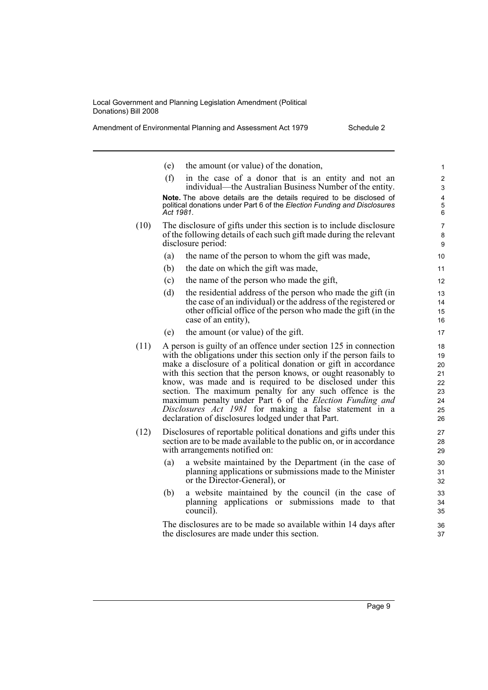Amendment of Environmental Planning and Assessment Act 1979 Schedule 2

(e) the amount (or value) of the donation, (f) in the case of a donor that is an entity and not an individual—the Australian Business Number of the entity. **Note.** The above details are the details required to be disclosed of political donations under Part 6 of the *Election Funding and Disclosures Act 1981*. (10) The disclosure of gifts under this section is to include disclosure of the following details of each such gift made during the relevant disclosure period: (a) the name of the person to whom the gift was made, (b) the date on which the gift was made, (c) the name of the person who made the gift, (d) the residential address of the person who made the gift (in the case of an individual) or the address of the registered or other official office of the person who made the gift (in the case of an entity), (e) the amount (or value) of the gift. (11) A person is guilty of an offence under section 125 in connection with the obligations under this section only if the person fails to make a disclosure of a political donation or gift in accordance with this section that the person knows, or ought reasonably to know, was made and is required to be disclosed under this section. The maximum penalty for any such offence is the maximum penalty under Part 6 of the *Election Funding and Disclosures Act 1981* for making a false statement in a declaration of disclosures lodged under that Part. (12) Disclosures of reportable political donations and gifts under this section are to be made available to the public on, or in accordance with arrangements notified on: (a) a website maintained by the Department (in the case of planning applications or submissions made to the Minister or the Director-General), or (b) a website maintained by the council (in the case of planning applications or submissions made to that council). The disclosures are to be made so available within 14 days after the disclosures are made under this section. 1 2 3 4 5 6 7 8 **9** 10 11 12 13 14 15 16 17 18 19 20 21 22 23 24 25 26 27 28 29 30 31 32 33 34 35 36 37